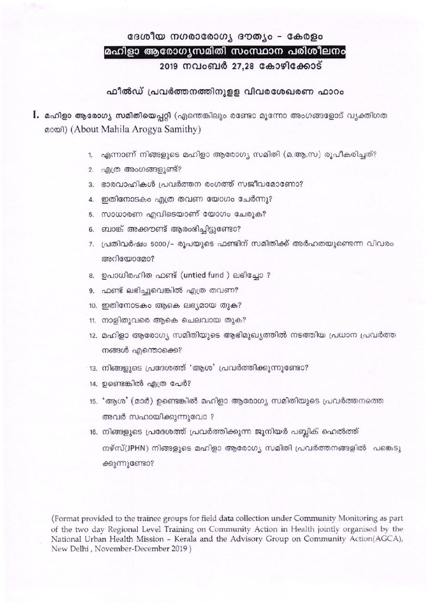### ദേശീയ നഗരാരോഗ്യ ദൗത്യം - കേരളം മഹിളാ ആരോഗ്യസമിതി സംസ്ഥാന പരിശീലനം

2019 നവംബർ 27,28 കോഴിക്കോട്

### ഫീൽഡ് പ്രവർത്തനത്തിനുളള വിവരശേഖരണ ഫാറം

- **l.** മഹിളാ ആരോഗ്യ സമിതിയെപ്പറ്റി (എന്തെങ്കിലും രണ്ടോ മൂന്നോ അംഗങ്ങളോട് വ്യക്തിഗത മായി) (About Mahila Arogya Samithy)
	- 1. എന്നാണ് നിങ്ങളുടെ മഹിളാ ആരോഗ്യ സമിതി (മ.ആ.സ) രൂപീകരിച്ചത്?
	- 2. എത്ര അംഗങ്ങളുണ്ട്?
	- 3. ഭാരവാഹികൾ പ്രവർത്തന രംഗത്ത് സജീവമോണോ?
	- 4. ഇതിനോടകം എത്ര തവണ യോഗം ചേർന്നു?
	- 5. സാധാരണ എവിടെയാണ് യോഗം ചേരുക?
	- 6. ബാങ്ക് അക്കൗണ്ട് ആരംഭിച്ചിട്ടുണ്ടോ?
	- 7. പ്രതിവർഷം 5000/– രൂപയുടെ ഫണ്ടിന് സമിതിക്ക് അർഹതയുണ്ടെന്ന വിവരം അറിയോമോ?
	- 8. ഉപാധിരഹിത ഫണ്ട് (untied fund ) ലഭിച്ചോ ?
	- 9. ഫണ്ട് ലഭിച്ചുവെങ്കിൽ എത്ര തവണ?
	- 10. ഇതിനോടകം ആകെ ലഭ്യമായ തുക?
	- 11. നാളിതുവരെ ആകെ ചെലവായ തുക?
	- 12. മഹിളാ ആരോഗ്യ സമിതിയുടെ ആഭിമുഖ്യത്തിൽ നടത്തിയ പ്രധാന പ്രവർത്ത നങ്ങൾ എന്തൊക്കെ?
	- 13. നിങ്ങളുടെ പ്രദേശത്ത് 'ആശ' പ്രവർത്തിക്കുന്നുണ്ടോ?
	- 14. ഉണ്ടെങ്കിൽ എത്ര പേർ?
	- 15. 'ആശ' (മാർ) ഉണ്ടെങ്കിൽ മഹിളാ ആരോഗ്യ സമിതിയുടെ പ്രവർത്തനത്തെ അവർ സഹായിക്കുന്നുവോ ?
	- 16. നിങ്ങളുടെ പ്രദേശത്ത് പ്രവർത്തിക്കുന്ന ജൂനിയർ പബ്ലിക് ഹെൽത്ത് നഴ്സ്(JPHN) നിങ്ങളുടെ മഹിളാ ആരോഗ്യ സമിതി പ്രവർത്തനങ്ങളിൽ പങ്കെടു ക്കുന്നുണ്ടോ?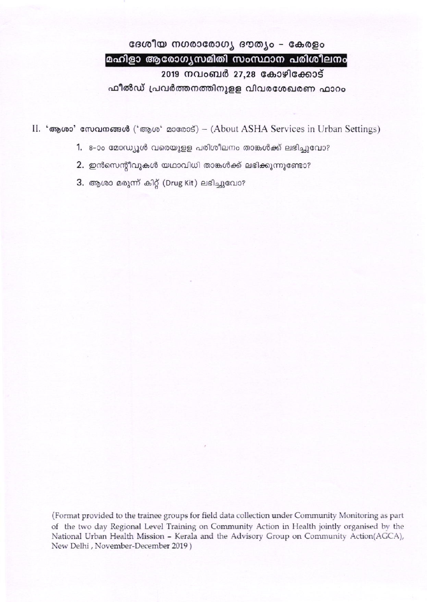# ദേശീയ നഗരാരോഗ്യ ദൗത്യം - കേരളം മഹിളാ ആരോഗൃസമിതി സംസ്ഥാന പരിശീലനം 2019 നവംബർ 27,28 കോഴിക്കോട് ഫീൽഡ് പ്രവർത്തനത്തിനുളള വിവരശേഖരണ ഫാറം

II. 'ആശാ' സേവനങ്ങൾ ('ആശ' മാരോട്) – (About ASHA Services in Urban Settings)

- 1. 8-ാം മോഡ്യൂൾ വരെയുള്ള പരിശീലനം താങ്കൾക്ക് ലഭിച്ചുവോ?
- 2. ഇൻസെന്റീവുകൾ യഥാവിധി താങ്കൾക്ക് ലഭിക്കുന്നുണ്ടോ?
- 3. ആശാ മരുന്ന് കിറ്റ് (Drug Kit) ലഭിച്ചുവോ?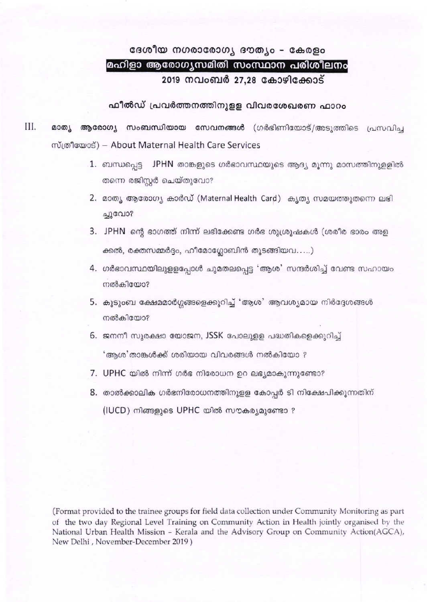# ദേശീയ നഗരാരോഗ്യ ദൗത്യം - കേരളം മഹിളാ ആരോഗ്യസമിതി സംസ്ഥാന പരിശീലനം 2019 നവംബർ 27,28 കോഴിക്കോട്

#### ഫീൽഡ് പ്രവർത്തനത്തിനുള്ള വിവരശേഖരണ ഫാറം

- III. മാത്യ ആരോഗ്യ സംബന്ധിയായ സേവനങ്ങൾ (ഗർഭിണിയോട്/അടുത്തിടെ പ്രസവിച്ച mumons) - About Maternal Health Care Services
	- 1. ബന്ധപ്പെട്ട JPHN താങ്കളുടെ ഗർഭാവസ്ഥയുടെ ആദ്യ മൂന്നു മാസത്തിനുള്ളിൽ തന്നെ രജിസ്റ്റർ ചെയ്തുവോ?
	- 2. മാത്യ ആരോഗ്യ കാർഡ് (Maternal Health Card) കൃത്യ സമയത്തുതന്നെ ലഭി ച്ചുവോ?
	- 3. JPHN ന്റെ ഭാഗത്ത് നിന്ന് ലഭിക്കേണ്ട ഗർഭ ശുശ്രൂഷകൾ (ശരീര ഭാരം അള ക്കൽ, രക്തസമ്മർദ്ദം, ഹീമോഗ്ലോബിൻ തുടങ്ങിയവ.....)
	- 4. ഗർഭാവസ്ഥയിലുളളപ്പോൾ ചുമതലപ്പെട്ട 'ആശ' സന്ദർശിച്ച് വേണ്ട സഹായം നൽകിയോ?
	- 5. കൂടുംബ ക്ഷേമമാർഗ്ഗങ്ങളെക്കുറിച്ച് 'ആശ' ആവശ്യമായ നിർദ്ദേശങ്ങൾ നൽകിയോ?
	- 6. ജനനീ സുരക്ഷാ യോജന, JSSK പോലുളള പദ്ധതികളെക്കുറിച്ച് 'ആശ'താങ്കൾക്ക് ശരിയായ വിവരങ്ങൾ നൽകിയോ ?
	- 7. UPHC യിൽ നിന്ന് ഗർഭ നിരോധന ഉറ ലഭ്യമാകുന്നുണ്ടോ?
	- 8. താൽക്കാലിക ഗർഭനിരോധനത്തിനുളള കോപ്പർ ടി നിക്ഷേപിക്കുന്നതിന് (IUCD) നിങ്ങളുടെ UPHC യിൽ സൗകര്യമുണ്ടോ ?